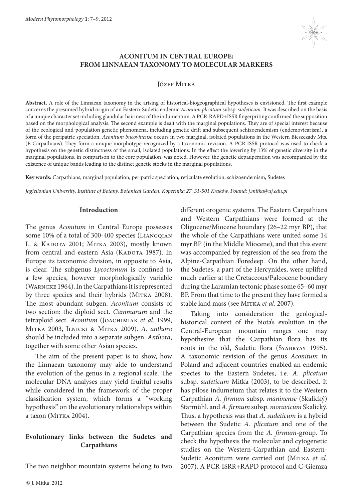

# **ACONITUM IN CENTRAL EUROPE: FROM LINNAEAN TAXONOMY TO MOLECULAR MARKERS**

Józef Mitka

**Abstract.** A role of the Linnaean taxonomy in the arising of historical-biogeographical hypotheses is envisioned. The first example concerns the presumed hybrid origin of an Eastern-Sudetic endemic *Aconium plicatum* subsp. *sudeticum*. It was described on the basis of a unique character set including glandular hairiness of the indumentum. A PCR-RAPD+ISSR fingerpriting confirmed the supposition based on the morphological analysis. The second example is dealt with the marginal populations. They are of special interest because of the ecological and population genetic phenomena, including genetic drift and subsequent schizoendemism (endemovicarism), a form of the peripatric speciation. *Aconitum bucovinense* occurs in two marginal, isolated populations in the Western Bieszczady Mts. (E Carpathians). They form a unique morphotype recognized by a taxonomic revision. A PCR-ISSR protocol was used to check a hypothesis on the genetic distinctness of the small, isolated populations. In the effect the lowering by 13% of genetic diversity in the marginal populations, in comparison to the core population, was noted. However, the genetic depauperation was accompanied by the existence of unique bands leading to the distinct genetic stocks in the marginal populations.

**Key words:** Carpathians, marginal population, peripatric speciation, reticulate evolution, schizoendemism, Sudetes

*Jagiellonian University, Institute of Botany, Botanical Garden, Kopernika 27, 31-501 Kraków, Poland; j.mitka@uj.edu.pl*

## **Introduction**

The genus *Aconitum* in Central Europe possesses some 10% of a total of 300-400 species (LIANGQIAN L. & KADOTA 2001; MITKA 2003), mostly known from central and eastern Asia (KADOTA 1987). In Europe its taxonomic division, in opposite to Asia, is clear. The subgenus *Lycoctonum* is confined to a few species, however morphologically variable (Warncke 1964). In the Carpathians it is represented by three species and their hybrids (MITKA 2008). The most abundant subgen. *Aconitum* consists of two section: the diploid sect. *Cammarum* and the tetraploid sect. *Aconitum* (Joachimiak *et al.* 1999, Mitka 2003, Ilnicki & Mitka 2009). *A. anthora* should be included into a separate subgen. *Anthora*, together with some other Asian species.

The aim of the present paper is to show, how the Linnaean taxonomy may aide to understand the evolution of the genus in a regional scale. The molecular DNA analyses may yield fruitful results while considered in the framework of the proper classification system, which forms a "working hypothesis" on the evolutionary relationships within a taxon (MITKA 2004).

# **Evolutionary links between the Sudetes and Carpathians**

The two neighbor mountain systems belong to two

different orogenic systems. The Eastern Carpathians and Western Carpathians were formed at the Oligocene/Miocene boundary (26–22 myr BP), that the whole of the Carpathians were united some 14 myr BP (in the Middle Miocene), and that this event was accompanied by regression of the sea from the Alpine-Carpathian Foredeep. On the other hand, the Sudetes, a part of the Hercynides, were uplifted much earlier at the Cretaceous/Paleocene boundary during the Laramian tectonic phase some 65–60 myr BP. From that time to the present they have formed a stable land mass (see MITKA et al. 2007).

Taking into consideration the geologicalhistorical context of the biota's evolution in the Central-European mountain ranges one may hypothesize that the Carpathian flora has its roots in the old, Sudetic flora (SYABRYAY 1995). A taxonomic revision of the genus *Aconitum* in Poland and adjacent countries enabled an endemic species to the Eastern Sudetes, i.e. *A. plicatum* subsp. *sudeticum* Mitka (2003), to be described. It has pilose indumetum that relates it to the Western Carpathian *A. firmum* subsp. *maninense* (Skalický) Starmühl. and *A. firmum* subsp. *moravicum* Skalický. Thus, a hypothesis was that *A. sudeticum* is a hybrid between the Sudetic *A. plicatum* and one of the Carpathian species from the *A. firmum*-group. To check the hypothesis the molecular and cytogenetic studies on the Western-Carpathian and Eastern-Sudetic Aconitum were carried out (MITKA et al. 2007). A PCR-ISRR+RAPD protocol and C-Giemza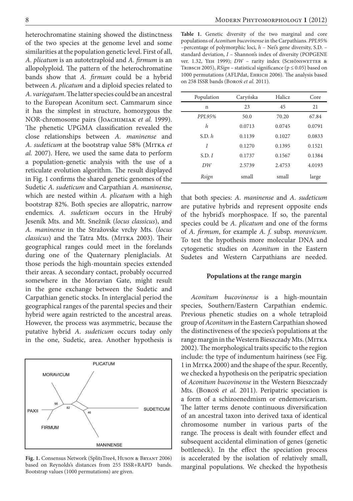heterochromatine staining showed the distinctness of the two species at the genome level and some similarities at the population genetic level. First of all, *A. plicatum* is an autotetraploid and *A. firmum* is an allopolyploid. The pattern of the heterochromatine bands show that *A. firmum* could be a hybrid between *A. plicatum* and a diploid species related to *A. variegatum*. The latter species could be an ancestral to the European Aconitum sect. Cammarum since it has the simplest in structure, homozygous the NOR-chromosome pairs (Joachimiak *et al.* 1999). The phenetic UPGMA classification revealed the close relationships between *A. maninense* and *A. sudeticum* at the bootstrap value 58% (Mitka *et al.* 2007). Here, we used the same data to perform a population-genetic analysis with the use of a reticulate evolution algorithm. The result displayed in Fig. 1 confirms the shared genetic genomes of the Sudetic *A. sudeticum* and Carpathian *A. maninense*, which are nested within *A. plicatum* with a high bootstrap 82%. Both species are allopatric, narrow endemics. *A. sudeticum* occurs in the Hrubý Jeseník Mts. and Mt. Snežnik (*locus classicus*), and *A. maninense* in the Stražovske vrchy Mts. (*locus classicus*) and the Tatra Mts. (MITKA 2003). Their geographical ranges could meet in the forelands during one of the Quaternary pleniglacials. At those periods the high-mountain species extended their areas. A secondary contact, probably occurred somewhere in the Moravian Gate, might result in the gene exchange between the Sudetic and Carpathian genetic stocks. In interglacial period the geographical ranges of the parental species and their hybrid were again restricted to the ancestral areas. However, the process was asymmetric, because the putative hybrid *A. sudeticum* occurs today only in the one, Sudetic, area. Another hypothesis is



**Fig. 1.** Consensus Network (SplitsTree4, Huson & Bryant 2006) based on Reynolds's distances from 255 ISSR+RAPD bands. Bootstrap values (1000 permutations) are given.

**Table 1.** Genetic diversity of the two marginal and core populations of *Aconitum bucovinense* in the Carpathians. *PPL95%* –percentage of polymorphic loci, *h* – Nei's gene diversity, S.D. – standard deviation, *I* – Shannon's index of diversity (POPGENE ver. 1.32, YEH 1999); *DW* - rarity index (SCHÖNSWETTER & TRIBSCH 2005),  $RSign$  – statistical significance ( $p \le 0.05$ ) based on 1000 permutations (AFLPdat, Ehrich 2006). The analysis based on 258 ISSR bands (Boroń *et al.* 2011).

| Population | Caryńska | <b>Halicz</b> | Core   |
|------------|----------|---------------|--------|
| n          | 23       | 45            | 21     |
| PPL95%     | 50.0     | 70.20         | 67.84  |
| h          | 0.0713   | 0.0745        | 0.0791 |
| S.D. h     | 0.1139   | 0.1027        | 0.0833 |
| I          | 0.1270   | 0.1395        | 0.1521 |
| S.D. I     | 0.1737   | 0.1567        | 0.1384 |
| DW         | 2.5739   | 2.4753        | 4.0193 |
| Rsign      | small    | small         | large  |

that both species: *A. maninense* and *A. sudeticum* are putative hybrids and represent opposite ends of the hybrid's morphospace. If so, the parental species could be *A. plicatum* and one of the forms of *A. firmum*, for example *A. f.* subsp. *moravicum*. To test the hypothesis more molecular DNA and cytogenetic studies on *Aconitum* in the Eastern Sudetes and Western Carpathians are needed.

## **Populations at the range margin**

*Aconitum bucovinense* is a high-mountain species, Southern/Eastern Carpathian endemic. Previous phenetic studies on a whole tetraploid group of *Aconitum* in the Eastern Carpathian showed the distinctiveness of the species's populations at the range margin in the Western Bieszczady Mts. (MITKA 2002). The morphological traits specific to the region include: the type of indumentum hairiness (see Fig. 1 in Mitka 2000) and the shape of the spur. Recently, we checked a hypothesis on the peripatric speciation of *Aconitum bucovinense* in the Western Bieszczady Mts. (Boroń *et al.* 2011). Peripatric speciation is a form of a schizoenedmism or endemovicarism. The latter terms denote continuous diversification of an ancestral taxon into derived taxa of identical chromosome number in various parts of the range. The process is dealt with founder effect and subsequent accidental elimination of genes (genetic bottleneck). In the effect the speciation process is accelerated by the isolation of relatively small, marginal populations. We checked the hypothesis